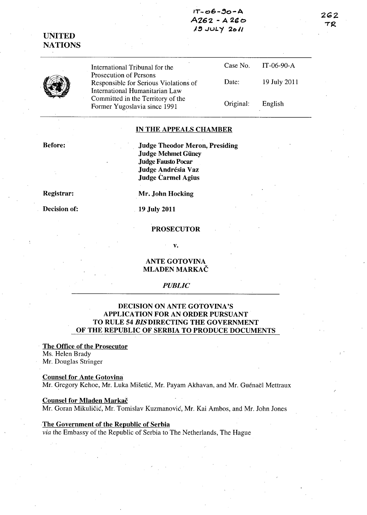## $IT - 06 - 90 - A$  $A262 - A260$ *,1!!j* .Jut."'f 2(> I,

262 TR

UNITED NATIONS

> International Tribunal for the Prosecution of Persons Responsible for Serious Violations of International Humanitarian Law Committed in the Territory of the Former Yugoslavia since 1991

Case No. Date: Original: IT-06-90-A 19 July 2011 English

### IN THE APPEALS CHAMBER

Before:

Judge Theodor Meron, Presiding Judge Mehmet Güney Judge Fausto Pocar Judge Andrésia Vaz Judge Carmel Agius

Registrar:

Decision of:

Mr. John Hocking

19 July 2011

#### PROSECUTOR

v.

ANTE GOTOVINA MLADEN MARKAC

#### *PUBLIC*

## DECISION ON ANTE GOTOVINA'S APPLICA TION FOR AN ORDER PURSUANT TO RULE 54 *BISDIRECTING* THE GOVERNMENT OF THE REPUBLIC OF SERBIA TO PRODUCE DOCUMENTS

#### The Office of the Prosecutor Ms. Helen Brady

Mr. Douglas Stringer

Counsel for Ante Gotovina Mr. Gregory Kehoe, Mr. Luka Mišetić, Mr. Payam Akhavan, and Mr. Guénaël Mettraux

#### Counsel for Mladen Markač

Mr. Goran Mikuličić, Mr. Tomislav Kuzmanović, Mr. Kai Ambos, and Mr. John Jones

#### ,The Government of the Republic of Serbia

*via* the Embassy of the Republic of Serbia to The Netherlands, The Hague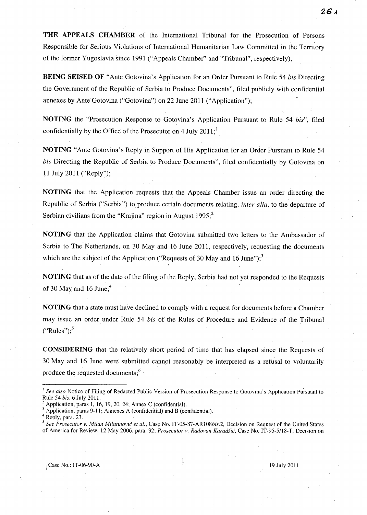**THE APPEALS CHAMBER** of the International Tribunal for the Prosecution of Persons Responsible for Serious Violations of International Humanitarian Law Committed in the Territory of the former Yugoslavia since 1991 ("Appeals Chamber" and "Tribunal", respectively),

**BEING SEISED OF** "Ante Gotovina's Application for an Order Pursuant to Rule 54 *his* Directing the Government of the Republic of Serbia to Produce Documents", filed publicly with confidential annexes by Ante Gotovina ("Gotovina") on 22 June 2011 ("Application");

**NOTING** the "Prosecution Response to Gotovina's Application Pursuant to Rule 54 *his",* filed confidentially by the Office of the Prosecutor on 4 July  $2011$ ;

**NOTING** "Ante Gotovina's Reply in Support of His Application for an Order Pursuant to Rule 54 *his* Directing the Republic of Serbia to Produce Documents", filed confidentially by Gotovina on 11 July 2011 ("Reply");

**NOTING** that the Application requests that the Appeals Chamber issue an order directing the Republic of Serbia ("Serbia") to produce certain documents relating, *inter alia,* to the departure of Serbian civilians from the "Krajina" region in August  $1995$ ;<sup>2</sup>

**NOTING** that the Application claims that Gotovina submitted two letters to the Ambassador of Serbia to The Netherlands, on 30 May and 16 June 2011, respectively, requesting the documents which are the subject of the Application ("Requests of 30 May and 16 June");<sup>3</sup>

**NOTING** that as of the date of the filing of the Reply, Serbia had not yet responded to the Requests of 30 May and 16 June; $4$ 

**NOTING** that a state must have declined to comply with a request for documents before a Chamber may issue an order under Rule 54 *his* of the Rules of Procedure and Evidence of the Tribunal  $("Rules")$ ;<sup>5</sup>

**CONSIDERING** that the relatively short period of time that has elapsed since the Requests of 30 May and 16 June were submitted cannot reasonably be interpreted as a refusal to voluntarily '. produce the requested documents;<sup>6</sup>

<sup>1</sup>*See also* Notice of-Filing of Redacted Public Version of Prosecution Response to Gotovina's Application Pursuant to Rule 54 *bis,* 6 July 2011.

Application, paras 1, 16, 19, 20, 24; Annex C (confidential).

Application, paras 9-11; Annexes A (confidential) and B (confidential).

Reply, para. 23.

*<sup>5</sup> See Prosecutor v. Milan Milutinovic et al.,* Case No. IT-05-87-AR108bis.2, Decision on Request of the United States of America for Review, 12 May 2006, para. 32; *Prosecutor v. Radovan Karadzic,* Case No. IT-95-5/18-T, Decision on